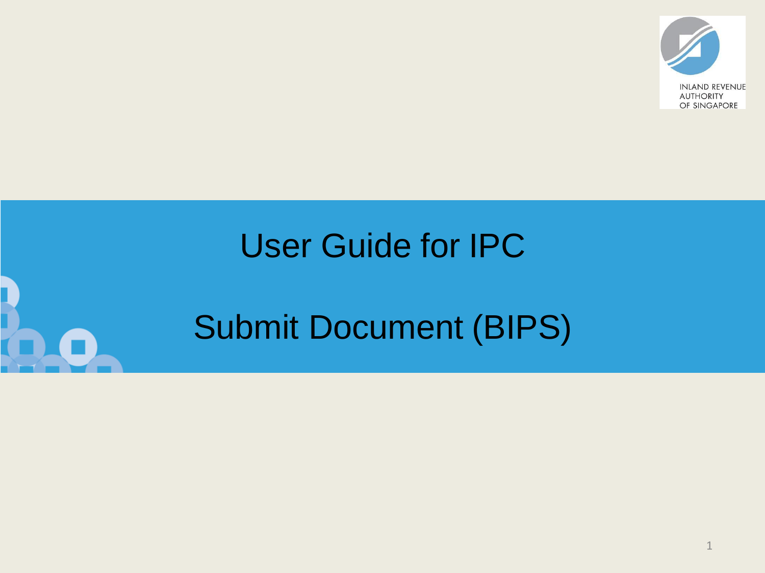

# User Guide for IPC

# Submit Document (BIPS)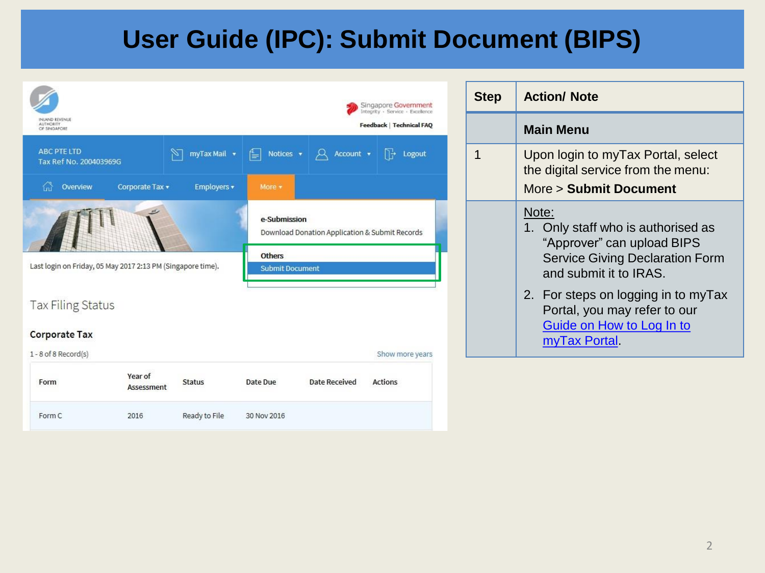| INLAND REVENUE<br><b>AUTHORITY</b><br>OF SINGAPORE |                                                             |               |                                         |                                                                                                                                     | Singapore Government<br>Integrity · Service · Excellence<br><b>Feedback   Technical FAQ</b> |
|----------------------------------------------------|-------------------------------------------------------------|---------------|-----------------------------------------|-------------------------------------------------------------------------------------------------------------------------------------|---------------------------------------------------------------------------------------------|
| <b>ABC PTE LTD</b><br>Tax Ref No. 200403969G       |                                                             | myTax Mail v  |                                         | $\begin{array}{ c c c c c }\n\hline \implies\quad \text{Notice} & \star & \text{if} & \text{Account} & \star \\ \hline \end{array}$ | $\Box \rightarrow$<br>Logout                                                                |
| 끊<br>Overview                                      | Corporate Tax v                                             | Employers v   | More -                                  |                                                                                                                                     |                                                                                             |
|                                                    |                                                             |               | e-Submission                            | Download Donation Application & Submit Records                                                                                      |                                                                                             |
|                                                    | Last login on Friday, 05 May 2017 2:13 PM (Singapore time). |               | <b>Others</b><br><b>Submit Document</b> |                                                                                                                                     |                                                                                             |
| <b>Tax Filing Status</b>                           |                                                             |               |                                         |                                                                                                                                     |                                                                                             |
| <b>Corporate Tax</b>                               |                                                             |               |                                         |                                                                                                                                     |                                                                                             |
| 1-8 of 8 Record(s)                                 |                                                             |               |                                         |                                                                                                                                     | Show more years                                                                             |
| Form                                               | Year of<br>Assessment                                       | <b>Status</b> | Date Due                                | Date Received                                                                                                                       | <b>Actions</b>                                                                              |
| Form C                                             | 2016                                                        | Ready to File | 30 Nov 2016                             |                                                                                                                                     |                                                                                             |

| Step | <b>Action/ Note</b>                                                                                                                                                                  |  |  |
|------|--------------------------------------------------------------------------------------------------------------------------------------------------------------------------------------|--|--|
|      | <b>Main Menu</b>                                                                                                                                                                     |  |  |
| 1    | Upon login to myTax Portal, select<br>the digital service from the menu:<br>More > Submit Document                                                                                   |  |  |
|      | Note:<br>1. Only staff who is authorised as<br>"Approver" can upload BIPS<br><b>Service Giving Declaration Form</b><br>and submit it to IRAS.<br>2. For steps on logging in to myTax |  |  |
|      | Portal, you may refer to our<br>Guide on How to Log In to<br>myTax Portal.                                                                                                           |  |  |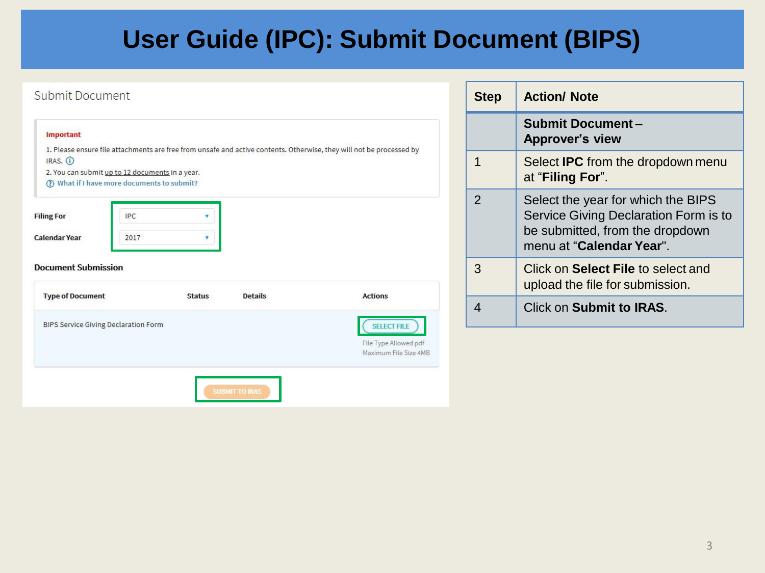#### Submit Document

| Important                                       |            |               |                |                                                                                                                      |
|-------------------------------------------------|------------|---------------|----------------|----------------------------------------------------------------------------------------------------------------------|
| IRAS. 1                                         |            |               |                | 1. Please ensure file attachments are free from unsafe and active contents. Otherwise, they will not be processed by |
| 2. You can submit up to 12 documents in a year. |            |               |                |                                                                                                                      |
| (?) What if I have more documents to submit?    |            |               |                |                                                                                                                      |
| <b>Filing For</b>                               | <b>IPC</b> |               |                |                                                                                                                      |
|                                                 |            |               |                |                                                                                                                      |
| Calendar Year                                   | 2017       |               |                |                                                                                                                      |
| <b>Document Submission</b>                      |            |               |                |                                                                                                                      |
| <b>Type of Document</b>                         |            | <b>Status</b> | <b>Details</b> | <b>Actions</b>                                                                                                       |
| BIPS Service Giving Declaration Form            |            |               |                | <b>SELECT FILE</b>                                                                                                   |

| <b>Step</b>   | <b>Action/ Note</b>                                                                                                                        |
|---------------|--------------------------------------------------------------------------------------------------------------------------------------------|
|               | <b>Submit Document-</b><br><b>Approver's view</b>                                                                                          |
| 1             | Select <b>IPC</b> from the dropdown menu<br>at "Filing For".                                                                               |
| $\mathcal{P}$ | Select the year for which the BIPS<br>Service Giving Declaration Form is to<br>be submitted, from the dropdown<br>menu at "Calendar Year". |
| 3             | Click on Select File to select and<br>upload the file for submission.                                                                      |
|               | <b>Click on Submit to IRAS.</b>                                                                                                            |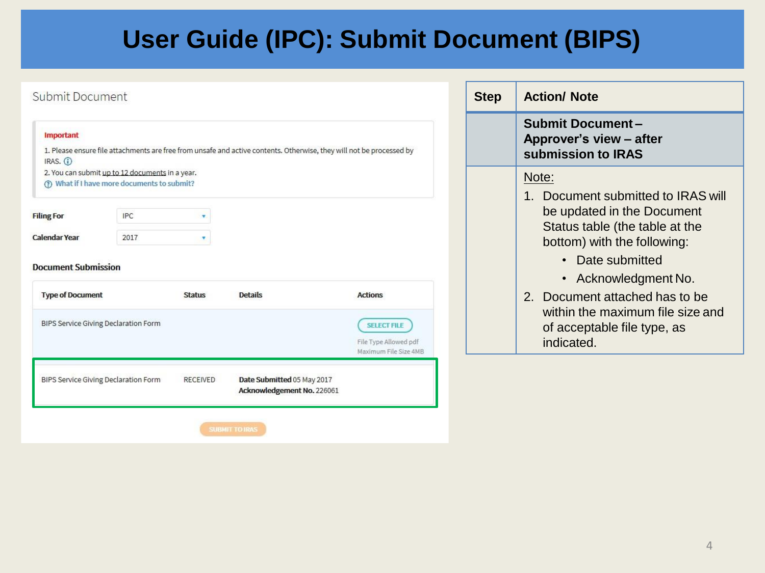| Submit Document                                                         |                                                                                                                      |                                                          |                                                                      | <b>Step</b> | <b>Action/ Note</b>                                                                                                                                           |
|-------------------------------------------------------------------------|----------------------------------------------------------------------------------------------------------------------|----------------------------------------------------------|----------------------------------------------------------------------|-------------|---------------------------------------------------------------------------------------------------------------------------------------------------------------|
| Important<br>IRAS. $(i)$                                                | 1. Please ensure file attachments are free from unsafe and active contents. Otherwise, they will not be processed by |                                                          |                                                                      |             | <b>Submit Document-</b><br>Approver's view - after<br>submission to IRAS                                                                                      |
|                                                                         | 2. You can submit up to 12 documents in a year.<br>(?) What if I have more documents to submit?                      |                                                          |                                                                      |             | Note:                                                                                                                                                         |
| <b>Filing For</b><br><b>Calendar Year</b><br><b>Document Submission</b> | <b>IPC</b><br>v.<br>2017<br>۰                                                                                        |                                                          |                                                                      |             | Document submitted to IRAS will<br>$1_{-}$<br>be updated in the Document<br>Status table (the table at the<br>bottom) with the following:<br>• Date submitted |
| <b>Type of Document</b>                                                 | <b>Status</b>                                                                                                        | <b>Details</b>                                           | <b>Actions</b>                                                       |             | • Acknowledgment No.<br>2. Document attached has to be                                                                                                        |
|                                                                         | BIPS Service Giving Declaration Form                                                                                 |                                                          | <b>SELECT FILE</b><br>File Type Allowed pdf<br>Maximum File Size 4MB |             | within the maximum file size and<br>of acceptable file type, as<br>indicated.                                                                                 |
|                                                                         | BIPS Service Giving Declaration Form<br><b>RECEIVED</b>                                                              | Date Submitted 05 May 2017<br>Acknowledgement No. 226061 |                                                                      |             |                                                                                                                                                               |
|                                                                         |                                                                                                                      | <b>SUBMIT TO IRAS</b>                                    |                                                                      |             |                                                                                                                                                               |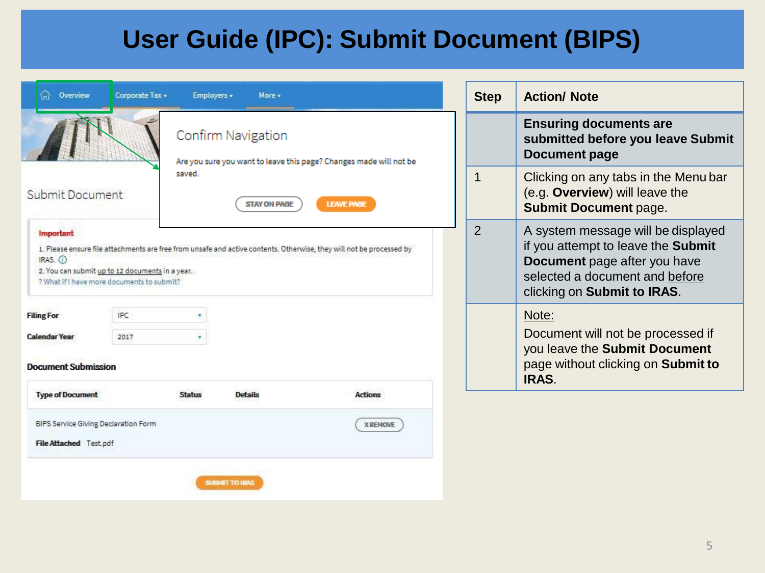| Overview                                  | Corporate Tax .                                                                               | Employers =   | More +              |                                                                                                                      |                |                                                                                                                                                                           |
|-------------------------------------------|-----------------------------------------------------------------------------------------------|---------------|---------------------|----------------------------------------------------------------------------------------------------------------------|----------------|---------------------------------------------------------------------------------------------------------------------------------------------------------------------------|
|                                           |                                                                                               |               |                     |                                                                                                                      | <b>Step</b>    | <b>Action/ Note</b>                                                                                                                                                       |
|                                           |                                                                                               |               | Confirm Navigation  | Are you sure you want to leave this page? Changes made will not be                                                   |                | <b>Ensuring documents are</b><br>submitted before you leave Submit<br><b>Document page</b>                                                                                |
| Submit Document                           |                                                                                               | saved         | <b>STAY ON PAGE</b> | <b>LEAVE PAGE</b>                                                                                                    | 1              | Clicking on any tabs in the Menu bar<br>(e.g. Overview) will leave the<br><b>Submit Document page.</b>                                                                    |
| <b>Important</b><br>IRAS. O               | 2. You can submit up to 12 documents in a year.<br>? What if I have more documents to submit? |               |                     | 1. Please ensure file attachments are free from unsafe and active contents. Otherwise, they will not be processed by | $\overline{2}$ | A system message will be displayed<br>if you attempt to leave the Submit<br>Document page after you have<br>selected a document and before<br>clicking on Submit to IRAS. |
| <b>Filing For</b><br><b>Calendar Year</b> | <b>IPC</b><br>2017                                                                            |               |                     |                                                                                                                      |                | Note:<br>Document will not be processed if<br>you leave the Submit Document                                                                                               |
| <b>Document Submission</b>                |                                                                                               |               |                     |                                                                                                                      |                | page without clicking on Submit to<br>IRAS.                                                                                                                               |
| <b>Type of Document</b>                   |                                                                                               | <b>Status</b> | <b>Details</b>      | <b>Actions</b>                                                                                                       |                |                                                                                                                                                                           |
| BIPS Service Giving Declaration Form      |                                                                                               |               |                     | <b>X REMOVE</b>                                                                                                      |                |                                                                                                                                                                           |
|                                           | File Attached Test.pdf                                                                        |               |                     |                                                                                                                      |                |                                                                                                                                                                           |